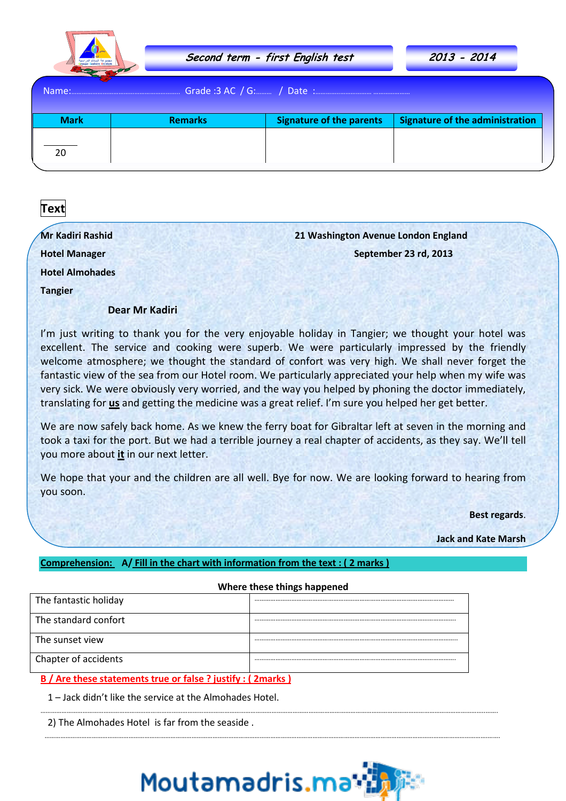

| という<br>Name: |                |                                 |                                        |  |  |
|--------------|----------------|---------------------------------|----------------------------------------|--|--|
| <b>Mark</b>  | <b>Remarks</b> | <b>Signature of the parents</b> | <b>Signature of the administration</b> |  |  |
| 20           |                |                                 |                                        |  |  |

# **Text**

| Mr Kadiri Rashid       | 21 Washington Avenue London England                                                                |  |  |
|------------------------|----------------------------------------------------------------------------------------------------|--|--|
| <b>Hotel Manager</b>   | September 23 rd, 2013                                                                              |  |  |
| <b>Hotel Almohades</b> |                                                                                                    |  |  |
| <b>Tangier</b>         |                                                                                                    |  |  |
| Dear Mr Kadiri         |                                                                                                    |  |  |
|                        | I'm just writing to thank you for the very enjoyable holiday in Tangier; we thought your hotel was |  |  |

excellent. The service and cooking were superb. We were particularly impressed by the friendly welcome atmosphere; we thought the standard of confort was very high. We shall never forget the fantastic view of the sea from our Hotel room. We particularly appreciated your help when my wife was very sick. We were obviously very worried, and the way you helped by phoning the doctor immediately, translating for **us** and getting the medicine was a great relief. I'm sure you helped her get better.

We are now safely back home. As we knew the ferry boat for Gibraltar left at seven in the morning and took a taxi for the port. But we had a terrible journey a real chapter of accidents, as they say. We'll tell you more about **it** in our next letter.

We hope that your and the children are all well. Bye for now. We are looking forward to hearing from you soon.

**Best regards**.

**Jack and Kate Marsh** 

# **Comprehension: A/ Fill in the chart with information from the text : ( 2 marks )**

#### **Where these things happened**

| The fantastic holiday                                       |  |  |  |  |
|-------------------------------------------------------------|--|--|--|--|
| The standard confort                                        |  |  |  |  |
| The sunset view                                             |  |  |  |  |
| Chapter of accidents                                        |  |  |  |  |
| B / Are these statements true or false ? justify : (2marks) |  |  |  |  |

1 – Jack didn't like the service at the Almohades Hotel.

2) The Almohades Hotel is far from the seaside .



………………………………………………………………………………………………………………………………………………………………………………………………………………………………..…….

……………………………………………………………………………………………………………………………………………………………………………………………………………………………….…….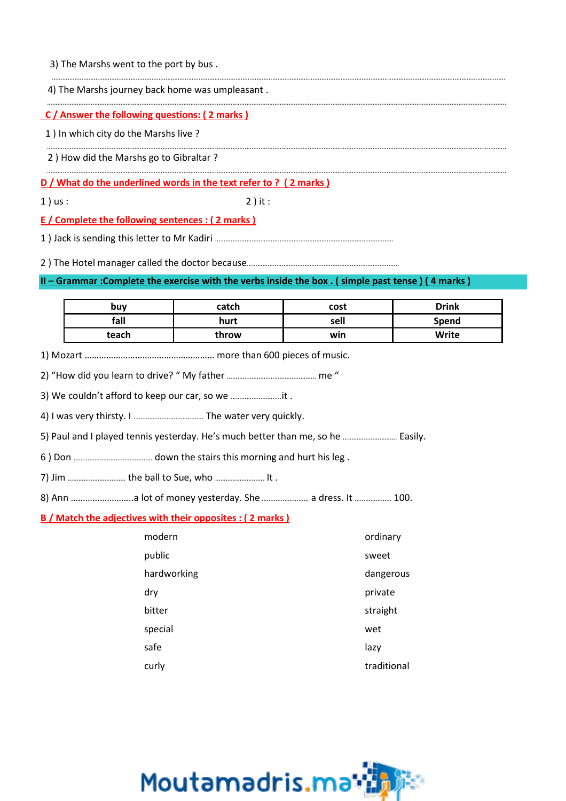4) The Marshs journey back home was umpleasant .

## **C / Answer the following questions: ( 2 marks )**

1 ) In which city do the Marshs live ?

2 ) How did the Marshs go to Gibraltar ?

**D / What do the underlined words in the text refer to ? ( 2 marks )**

1 ) us : 2 ) it :

### **E / Complete the following sentences : ( 2 marks )**

1 ) Jack is sending this letter to Mr Kadiri …………………………………………………………………………………………

2 ) The Hotel manager called the doctor because……………………………………………………………………………

## **II – Grammar :Complete the exercise with the verbs inside the box . ( simple past tense ) ( 4 marks )**

| buv   | catch | cost | <b>Drink</b> |
|-------|-------|------|--------------|
| fall  | hurt  | sell | Spend        |
| teach | throw | win  | Write        |

…………………………………………………………………………………………………………………………………………………………………………………………………………………………………….

……………………………………………………………………………………………………………………………………………………………………………………………………………………………..………..

……………………………………………………………………………………………………………………………………………………………………………………………………………………………..………..

1) Mozart ……………………………………………… more than 600 pieces of music.

2) "How did you learn to drive? " My father …………………………………………… me "

3) We couldn't afford to keep our car, so we ………………………..it .

4) I was very thirsty. I …………………………………. The water very quickly.

5) Paul and I played tennis yesterday. He's much better than me, so he …………………………. Easily.

6 ) Don ……………………………………… down the stairs this morning and hurt his leg .

7) Jim …………………………… the ball to Sue, who ………………………. It .

8) Ann ……………………..a lot of money yesterday. She ……………………… a dress. It ………………… 100.

### **B / Match the adjectives with their opposites : ( 2 marks )**

| modern      | ordinary    |
|-------------|-------------|
| public      | sweet       |
| hardworking | dangerous   |
| dry         | private     |
| bitter      | straight    |
| special     | wet         |
| safe        | lazy        |
| curly       | traditional |